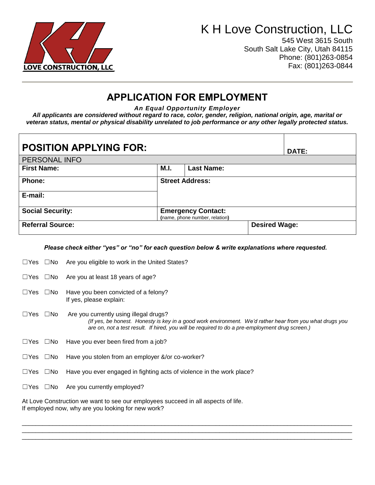

# K H Love Construction, LLC

 $\top$ 

┑

545 West 3615 South South Salt Lake City, Utah 84115 Phone: (801)263-0854 Fax: (801)263-0844

### **APPLICATION FOR EMPLOYMENT**

*An Equal Opportunity Employer*

*All applicants are considered without regard to race, color, gender, religion, national origin, age, marital or veteran status, mental or physical disability unrelated to job performance or any other legally protected status.*

| <b>POSITION APPLYING FOR:</b> | <b>DATE:</b> |                                                             |                      |
|-------------------------------|--------------|-------------------------------------------------------------|----------------------|
| PERSONAL INFO                 |              |                                                             |                      |
| <b>First Name:</b>            | M.I.         | <b>Last Name:</b>                                           |                      |
| Phone:                        |              | <b>Street Address:</b>                                      |                      |
| E-mail:                       |              |                                                             |                      |
| <b>Social Security:</b>       |              | <b>Emergency Contact:</b><br>(name, phone number, relation) |                      |
| <b>Referral Source:</b>       |              |                                                             | <b>Desired Wage:</b> |

*Please check either "yes" or "no" for each question below & write explanations where requested.*

| $\Box$ Yes $\Box$ No |              | Are you eligible to work in the United States?                                                                                                                                                                                                      |
|----------------------|--------------|-----------------------------------------------------------------------------------------------------------------------------------------------------------------------------------------------------------------------------------------------------|
| $\sqcup$ Yes         | ∟No          | Are you at least 18 years of age?                                                                                                                                                                                                                   |
| $\Box$ Yes           | ⊟No          | Have you been convicted of a felony?<br>If yes, please explain:                                                                                                                                                                                     |
| $\sqcup$ Yes         | ⊟No          | Are you currently using illegal drugs?<br>(If yes, be honest. Honesty is key in a good work environment. We'd rather hear from you what drugs you<br>are on, not a test result. If hired, you will be required to do a pre-employment drug screen.) |
| $\Box Y$ es          | $\square$ No | Have you ever been fired from a job?                                                                                                                                                                                                                |
| $\Box Y$ es          | ⊟No          | Have you stolen from an employer &/or co-worker?                                                                                                                                                                                                    |
| $\Box Y$ es          | $\square$ No | Have you ever engaged in fighting acts of violence in the work place?                                                                                                                                                                               |
| $\sqcup$ Yes         | $\square$ No | Are you currently employed?                                                                                                                                                                                                                         |

 $\Box$ \_\_\_\_\_\_\_\_\_\_\_\_\_\_\_\_\_\_\_\_\_\_\_\_\_\_\_\_\_\_\_\_\_\_\_\_\_\_\_\_\_\_\_\_\_\_\_\_\_\_\_\_\_\_\_\_\_\_\_\_\_\_\_\_\_\_\_\_\_\_\_\_\_\_\_\_\_\_\_\_\_\_\_\_\_\_\_\_\_\_\_\_\_\_\_\_\_  $\Box$ 

At Love Construction we want to see our employees succeed in all aspects of life. If employed now, why are you looking for new work?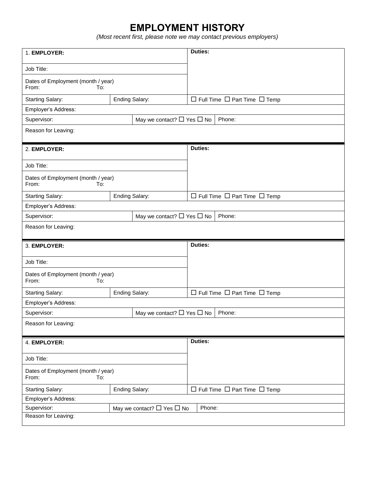### **EMPLOYMENT HISTORY**

*(Most recent first, please note we may contact previous employers)*

| 1. EMPLOYER:                                        |                                      | Duties:                                       |  |  |
|-----------------------------------------------------|--------------------------------------|-----------------------------------------------|--|--|
| Job Title:                                          |                                      |                                               |  |  |
| Dates of Employment (month / year)<br>From:<br>To:  |                                      |                                               |  |  |
| <b>Starting Salary:</b>                             | Ending Salary:                       | $\Box$ Full Time $\Box$ Part Time $\Box$ Temp |  |  |
| Employer's Address:                                 |                                      |                                               |  |  |
| Supervisor:                                         | May we contact? $\Box$ Yes $\Box$ No | Phone:                                        |  |  |
| Reason for Leaving:                                 |                                      |                                               |  |  |
| 2. EMPLOYER:                                        |                                      | <b>Duties:</b>                                |  |  |
| Job Title:                                          |                                      |                                               |  |  |
| Dates of Employment (month / year)<br>From:<br>To:  |                                      |                                               |  |  |
| <b>Starting Salary:</b>                             | <b>Ending Salary:</b>                | $\Box$ Full Time $\Box$ Part Time $\Box$ Temp |  |  |
| Employer's Address:                                 |                                      |                                               |  |  |
| May we contact? $\Box$ Yes $\Box$ No<br>Supervisor: |                                      | Phone:                                        |  |  |
| Reason for Leaving:                                 |                                      |                                               |  |  |
|                                                     |                                      |                                               |  |  |
| 3. EMPLOYER:                                        |                                      | <b>Duties:</b>                                |  |  |
| Job Title:                                          |                                      |                                               |  |  |
| Dates of Employment (month / year)<br>From:<br>To:  |                                      |                                               |  |  |
| <b>Starting Salary:</b>                             | <b>Ending Salary:</b>                | $\Box$ Full Time $\Box$ Part Time $\Box$ Temp |  |  |
| Employer's Address:                                 |                                      |                                               |  |  |
| Supervisor:                                         | May we contact? $\Box$ Yes $\Box$ No | Phone:                                        |  |  |
| Reason for Leaving:                                 |                                      |                                               |  |  |
| 4. EMPLOYER:                                        |                                      | Duties:                                       |  |  |
| Job Title:                                          |                                      |                                               |  |  |
| Dates of Employment (month / year)<br>From:<br>To:  |                                      |                                               |  |  |
| <b>Starting Salary:</b>                             | <b>Ending Salary:</b>                | $\Box$ Full Time $\Box$ Part Time $\Box$ Temp |  |  |
| Employer's Address:                                 |                                      |                                               |  |  |
| Supervisor:<br>Reason for Leaving:                  | May we contact? $\Box$ Yes $\Box$ No | Phone:                                        |  |  |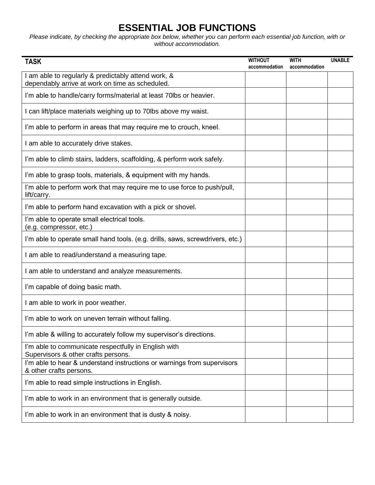### **ESSENTIAL JOB FUNCTIONS**

*Please indicate, by checking the appropriate box below, whether you can perform each essential job function, with or without accommodation.*

| <b>TASK</b>                                                                                            | <b>WITHOUT</b> | <b>WITH</b>   | <b>UNABLE</b> |
|--------------------------------------------------------------------------------------------------------|----------------|---------------|---------------|
|                                                                                                        | accommodation  | accommodation |               |
| I am able to regularly & predictably attend work, &<br>dependably arrive at work on time as scheduled. |                |               |               |
| I'm able to handle/carry forms/material at least 70lbs or heavier.                                     |                |               |               |
| I can lift/place materials weighing up to 70lbs above my waist.                                        |                |               |               |
| I'm able to perform in areas that may require me to crouch, kneel.                                     |                |               |               |
| I am able to accurately drive stakes.                                                                  |                |               |               |
| I'm able to climb stairs, ladders, scaffolding, & perform work safely.                                 |                |               |               |
| I'm able to grasp tools, materials, & equipment with my hands.                                         |                |               |               |
| I'm able to perform work that may require me to use force to push/pull,<br>lift/carry.                 |                |               |               |
| I'm able to perform hand excavation with a pick or shovel.                                             |                |               |               |
| I'm able to operate small electrical tools.<br>(e.g. compressor, etc.)                                 |                |               |               |
| I'm able to operate small hand tools. (e.g. drills, saws, screwdrivers, etc.)                          |                |               |               |
| I am able to read/understand a measuring tape.                                                         |                |               |               |
| I am able to understand and analyze measurements.                                                      |                |               |               |
| I'm capable of doing basic math.                                                                       |                |               |               |
| I am able to work in poor weather.                                                                     |                |               |               |
| I'm able to work on uneven terrain without falling.                                                    |                |               |               |
| I'm able & willing to accurately follow my supervisor's directions.                                    |                |               |               |
| I'm able to communicate respectfully in English with<br>Supervisors & other crafts persons.            |                |               |               |
| I'm able to hear & understand instructions or warnings from supervisors<br>& other crafts persons.     |                |               |               |
| I'm able to read simple instructions in English.                                                       |                |               |               |
| I'm able to work in an environment that is generally outside.                                          |                |               |               |
| I'm able to work in an environment that is dusty & noisy.                                              |                |               |               |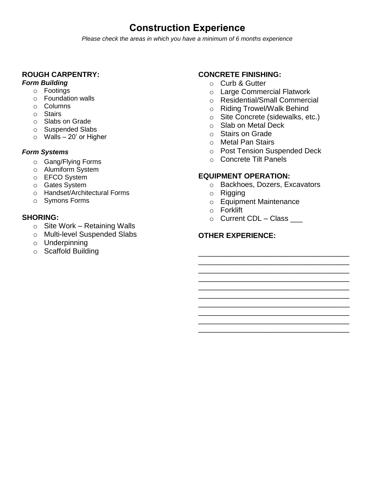### **Construction Experience**

*Please check the areas in which you have a minimum of 6 months experience*

#### **ROUGH CARPENTRY:**

#### *Form Building*

- o Footings
- o Foundation walls
- o Columns
- o Stairs
- o Slabs on Grade
- o Suspended Slabs
- $\circ$  Walls 20' or Higher

#### *Form Systems*

- o Gang/Flying Forms
- o Alumiform System
- o EFCO System
- o Gates System
- o Handset/Architectural Forms
- o Symons Forms

#### **SHORING:**

- $\circ$  Site Work Retaining Walls
- o Multi-level Suspended Slabs
- o Underpinning
- o Scaffold Building

#### **CONCRETE FINISHING:**

- o Curb & Gutter
- o Large Commercial Flatwork
- o Residential/Small Commercial
- o Riding Trowel/Walk Behind
- o Site Concrete (sidewalks, etc.)
- o Slab on Metal Deck
- o Stairs on Grade
- o Metal Pan Stairs
- o Post Tension Suspended Deck
- o Concrete Tilt Panels

### **EQUIPMENT OPERATION:**

o Backhoes, Dozers, Excavators

\_\_\_\_\_\_\_\_\_\_\_\_\_\_\_\_\_\_\_\_\_\_\_\_\_\_\_\_\_\_\_\_\_\_\_\_\_

\_\_\_\_\_\_\_\_\_\_\_\_\_\_\_\_\_\_\_\_\_\_\_\_\_\_\_\_\_\_\_\_\_\_\_\_\_ \_\_\_\_\_\_\_\_\_\_\_\_\_\_\_\_\_\_\_\_\_\_\_\_\_\_\_\_\_\_\_\_\_\_\_\_\_ \_\_\_\_\_\_\_\_\_\_\_\_\_\_\_\_\_\_\_\_\_\_\_\_\_\_\_\_\_\_\_\_\_\_\_\_\_ \_\_\_\_\_\_\_\_\_\_\_\_\_\_\_\_\_\_\_\_\_\_\_\_\_\_\_\_\_\_\_\_\_\_\_\_\_

\_\_\_\_\_\_\_\_\_\_\_\_\_\_\_\_\_\_\_\_\_\_\_\_\_\_\_\_\_\_\_\_\_\_\_\_\_ \_\_\_\_\_\_\_\_\_\_\_\_\_\_\_\_\_\_\_\_\_\_\_\_\_\_\_\_\_\_\_\_\_\_\_\_\_ \_\_\_\_\_\_\_\_\_\_\_\_\_\_\_\_\_\_\_\_\_\_\_\_\_\_\_\_\_\_\_\_\_\_\_\_\_

- o Rigging
- o Equipment Maintenance
- o Forklift
- $\circ$  Current CDL Class  $\_\_$

### **OTHER EXPERIENCE:**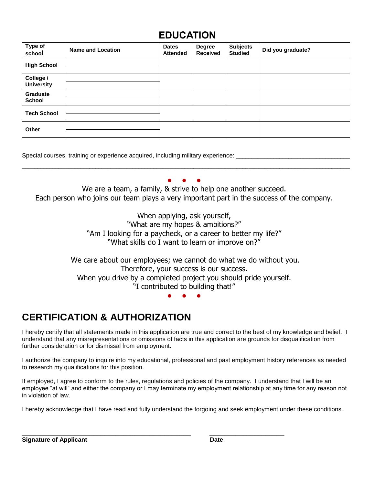### **EDUCATION**

| Type of<br>school              | <b>Name and Location</b> | <b>Dates</b><br><b>Attended</b> | <b>Degree</b><br><b>Received</b> | <b>Subjects</b><br><b>Studied</b> | Did you graduate? |
|--------------------------------|--------------------------|---------------------------------|----------------------------------|-----------------------------------|-------------------|
| <b>High School</b>             |                          |                                 |                                  |                                   |                   |
| College /<br><b>University</b> |                          |                                 |                                  |                                   |                   |
| Graduate<br><b>School</b>      |                          |                                 |                                  |                                   |                   |
| <b>Tech School</b>             |                          |                                 |                                  |                                   |                   |
| Other                          |                          |                                 |                                  |                                   |                   |

Special courses, training or experience acquired, including military experience:

#### ● ● ●

\_\_\_\_\_\_\_\_\_\_\_\_\_\_\_\_\_\_\_\_\_\_\_\_\_\_\_\_\_\_\_\_\_\_\_\_\_\_\_\_\_\_\_\_\_\_\_\_\_\_\_\_\_\_\_\_\_\_\_\_\_\_\_\_\_\_\_\_\_\_\_\_\_\_\_\_\_\_\_\_\_\_\_\_\_\_\_\_\_\_\_\_\_\_\_\_\_\_\_\_\_\_\_\_\_\_\_

We are a team, a family, & strive to help one another succeed. Each person who joins our team plays a very important part in the success of the company.

> When applying, ask yourself, "What are my hopes & ambitions?" "Am I looking for a paycheck, or a career to better my life?" "What skills do I want to learn or improve on?"

We care about our employees; we cannot do what we do without you. Therefore, your success is our success. When you drive by a completed project you should pride yourself. "I contributed to building that!"

#### ● ● ●

## **CERTIFICATION & AUTHORIZATION**

I hereby certify that all statements made in this application are true and correct to the best of my knowledge and belief. I understand that any misrepresentations or omissions of facts in this application are grounds for disqualification from further consideration or for dismissal from employment.

I authorize the company to inquire into my educational, professional and past employment history references as needed to research my qualifications for this position.

If employed, I agree to conform to the rules, regulations and policies of the company. I understand that I will be an employee "at will" and either the company or I may terminate my employment relationship at any time for any reason not in violation of law.

I hereby acknowledge that I have read and fully understand the forgoing and seek employment under these conditions.